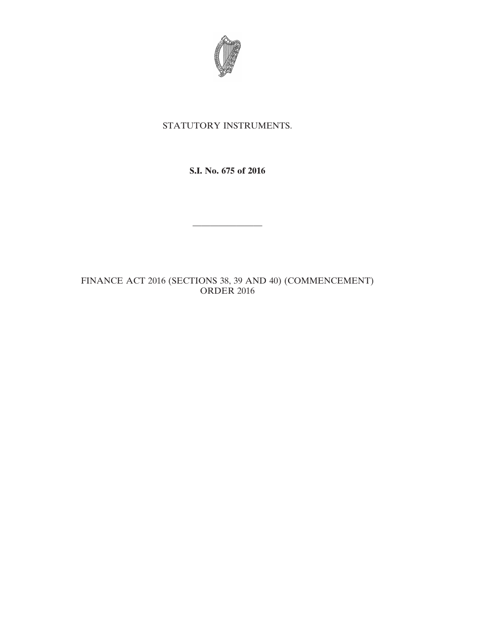

## STATUTORY INSTRUMENTS.

**S.I. No. 675 of 2016**

————————

FINANCE ACT 2016 (SECTIONS 38, 39 AND 40) (COMMENCEMENT) ORDER 2016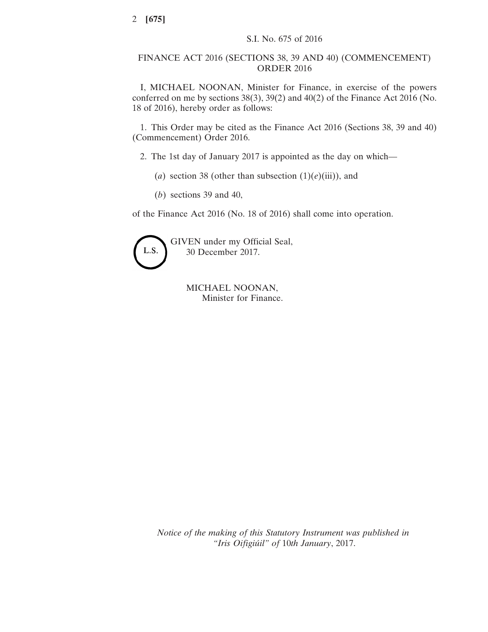## FINANCE ACT 2016 (SECTIONS 38, 39 AND 40) (COMMENCEMENT) ORDER 2016

I, MICHAEL NOONAN, Minister for Finance, in exercise of the powers conferred on me by sections 38(3), 39(2) and 40(2) of the Finance Act 2016 (No. 18 of 2016), hereby order as follows:

1. This Order may be cited as the Finance Act 2016 (Sections 38, 39 and 40) (Commencement) Order 2016.

2. The 1st day of January 2017 is appointed as the day on which—

- (*a*) section 38 (other than subsection  $(1)(e)(iii)$ ), and
- (*b*) sections 39 and 40,

of the Finance Act 2016 (No. 18 of 2016) shall come into operation.



GIVEN under my Official Seal, 30 December 2017.

> MICHAEL NOONAN, Minister for Finance.

*Notice of the making of this Statutory Instrument was published in "Iris Oifigiúil" of* 10*th January*, 2017.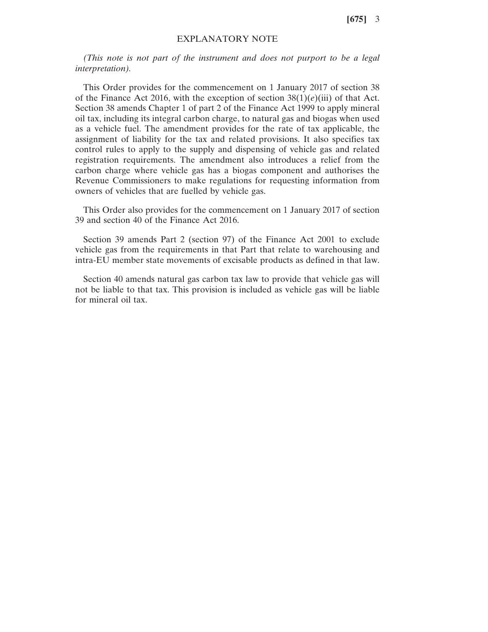**[675]** 3

## EXPLANATORY NOTE

*(This note is not part of the instrument and does not purport to be a legal interpretation).*

This Order provides for the commencement on 1 January 2017 of section 38 of the Finance Act 2016, with the exception of section  $38(1)(e)$ (iii) of that Act. Section 38 amends Chapter 1 of part 2 of the Finance Act 1999 to apply mineral oil tax, including its integral carbon charge, to natural gas and biogas when used as a vehicle fuel. The amendment provides for the rate of tax applicable, the assignment of liability for the tax and related provisions. It also specifies tax control rules to apply to the supply and dispensing of vehicle gas and related registration requirements. The amendment also introduces a relief from the carbon charge where vehicle gas has a biogas component and authorises the Revenue Commissioners to make regulations for requesting information from owners of vehicles that are fuelled by vehicle gas.

This Order also provides for the commencement on 1 January 2017 of section 39 and section 40 of the Finance Act 2016.

Section 39 amends Part 2 (section 97) of the Finance Act 2001 to exclude vehicle gas from the requirements in that Part that relate to warehousing and intra-EU member state movements of excisable products as defined in that law.

Section 40 amends natural gas carbon tax law to provide that vehicle gas will not be liable to that tax. This provision is included as vehicle gas will be liable for mineral oil tax.